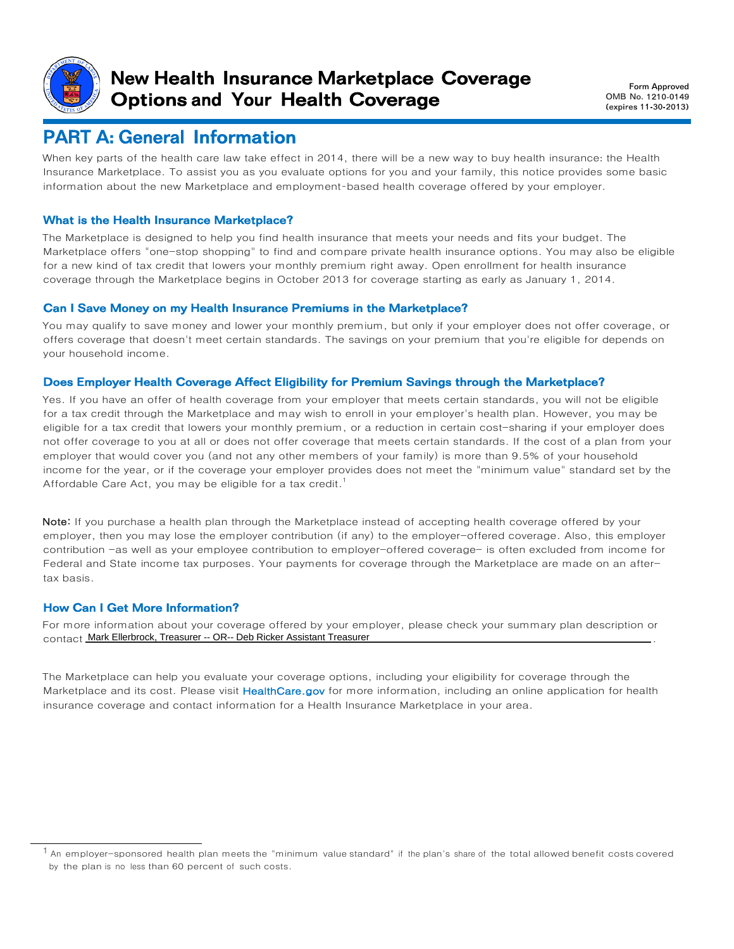

### New Health Insurance Marketplace Coverage Options and Your Health Coverage

 Form Approved OMB No. 1210-0149 (expires 11-30-2013)

## PART A: General Information

When key parts of the health care law take effect in 2014, there will be a new way to buy health insurance: the Health Insurance Marketplace. To assist you as you evaluate options for you and your family, this notice provides some basic information about the new Marketplace and employment-based health coverage offered by your employer.

### What is the Health Insurance Marketplace?

The Marketplace is designed to help you find health insurance that meets your needs and fits your budget. The Marketplace offers "one-stop shopping" to find and compare private health insurance options. You may also be eligible for a new kind of tax credit that lowers your monthly premium right away. Open enrollment for health insurance coverage through the Marketplace begins in October 2013 for coverage starting as early as January 1, 2014.

#### Can I Save Money on my Health Insurance Premiums in the Marketplace?

You may qualify to save money and lower your monthly premium, but only if your employer does not offer coverage, or offers coverage that doesn't meet certain standards. The savings on your premium that you're eligible for depends on your household income.

#### Does Employer Health Coverage Affect Eligibility for Premium Savings through the Marketplace?

Yes. If you have an offer of health coverage from your employer that meets certain standards, you will not be eligible for a tax credit through the Marketplace and may wish to enroll in your employer's health plan. However, you may be eligible for a tax credit that lowers your monthly premium, or a reduction in certain cost-sharing if your employer does not offer coverage to you at all or does not offer coverage that meets certain standards. If the cost of a plan from your employer that would cover you (and not any other members of your family) is more than 9.5% of your household income for the year, or if the coverage your employer provides does not meet the "minimum value" standard set by the Affordable Care Act, you may be eligible for a tax credit.<sup>1</sup>

Note: If you purchase a health plan through the Marketplace instead of accepting health coverage offered by your employer, then you may lose the employer contribution (if any) to the employer-offered coverage. Also, this employer contribution -as well as your employee contribution to employer-offered coverage- is often excluded from income for Federal and State income tax purposes. Your payments for coverage through the Marketplace are made on an aftertax basis.

#### How Can I Get More Information?

For more information about your coverage offered by your employer, please check your summary plan description or contact . Mark Ellerbrock, Treasurer -- OR-- Deb Ricker Assistant Treasurer

The Marketplace can help you evaluate your coverage options, including your eligibility for coverage through the Marketplace and its cost. Please visit HealthCare.gov for more information, including an online application for health insurance coverage and contact information for a Health Insurance Marketplace in your area.

 $^{\text{1}}$  An employer-sponsored health plan meets the "minimum value standard" if the plan's share of the total allowed benefit costs covered by the plan is no less than 60 percent of such costs.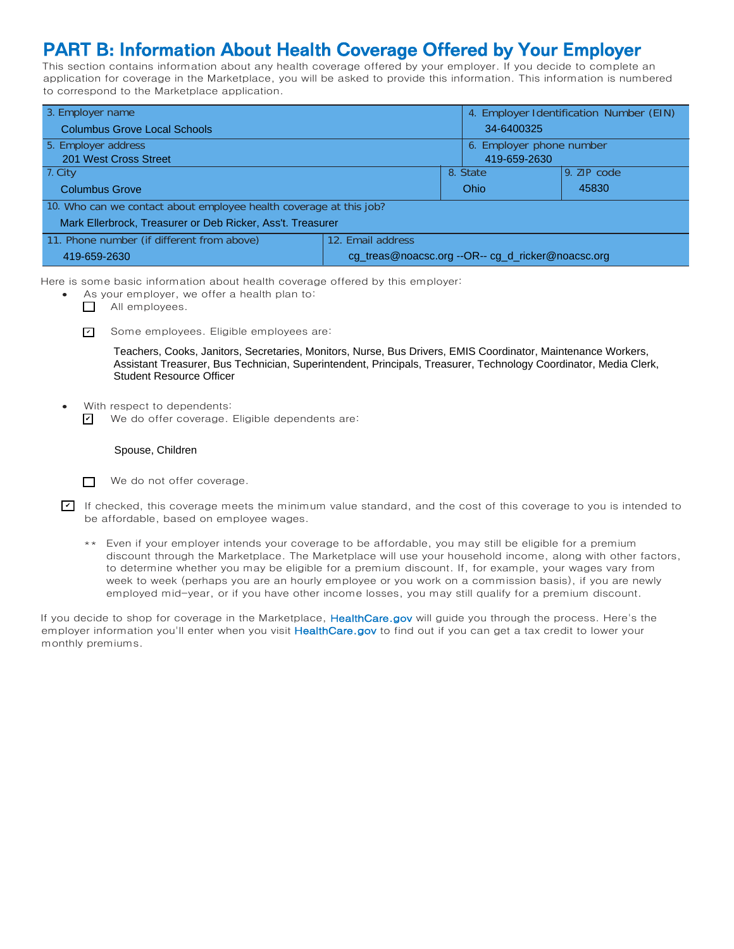# PART B: Information About Health Coverage Offered by Your Employer

This section contains information about any health coverage offered by your employer. If you decide to complete an application for coverage in the Marketplace, you will be asked to provide this information. This information is numbered to correspond to the Marketplace application.

| 3. Employer name                                                   |                                                   |                          | 4. Employer Identification Number (EIN) |               |  |
|--------------------------------------------------------------------|---------------------------------------------------|--------------------------|-----------------------------------------|---------------|--|
| <b>Columbus Grove Local Schools</b>                                |                                                   | 34-6400325               |                                         |               |  |
| 5. Employer address                                                |                                                   | 6. Employer phone number |                                         |               |  |
| 201 West Cross Street                                              |                                                   |                          | 419-659-2630                            |               |  |
| 7. City                                                            |                                                   |                          | 8. State                                | $9.$ ZIP code |  |
| <b>Columbus Grove</b>                                              |                                                   | Ohio                     |                                         | 45830         |  |
| 10. Who can we contact about employee health coverage at this job? |                                                   |                          |                                         |               |  |
| Mark Ellerbrock, Treasurer or Deb Ricker, Ass't. Treasurer         |                                                   |                          |                                         |               |  |
| 11. Phone number (if different from above)                         | 12. Email address                                 |                          |                                         |               |  |
| 419-659-2630                                                       | cg_treas@noacsc.org --OR-- cg_d_ricker@noacsc.org |                          |                                         |               |  |

Here is some basic information about health coverage offered by this employer:

- As your employer, we offer a health plan to:
	- All employees.
	- Some employees. Eligible employees are: ✔

Teachers, Cooks, Janitors, Secretaries, Monitors, Nurse, Bus Drivers, EMIS Coordinator, Maintenance Workers, Assistant Treasurer, Bus Technician, Superintendent, Principals, Treasurer, Technology Coordinator, Media Clerk, Student Resource Officer

With respect to dependents: We do offer coverage. Eligible dependents are: ✔

#### Spouse, Children

 $\Box$ We do not offer coverage.

If checked, this coverage meets the minimum value standard, and the cost of this coverage to you is intended to be affordable, based on employee wages.

\*\* Even if your employer intends your coverage to be affordable, you may still be eligible for a premium discount through the Marketplace. The Marketplace will use your household income, along with other factors, to determine whether you may be eligible for a premium discount. If, for example, your wages vary from week to week (perhaps you are an hourly employee or you work on a commission basis), if you are newly employed mid-year, or if you have other income losses, you may still qualify for a premium discount.

If you decide to shop for coverage in the Marketplace, HealthCare.gov will guide you through the process. Here's the employer information you'll enter when you visit HealthCare.gov to find out if you can get a tax credit to lower your monthly premiums.